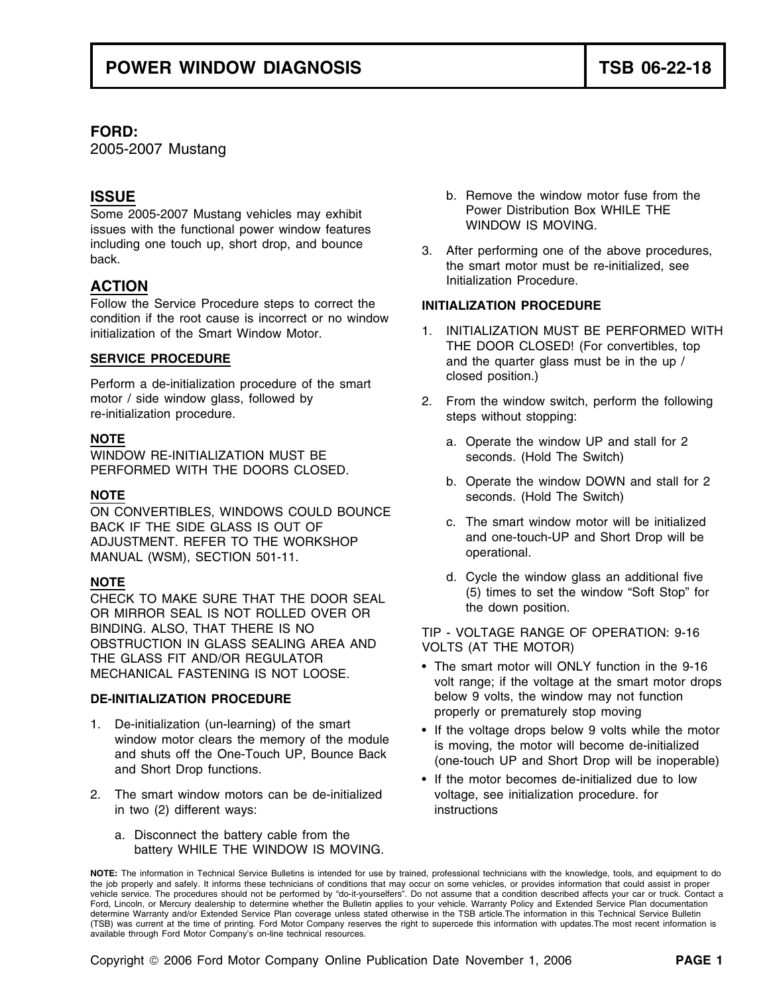## **FORD:**

2005-2007 Mustang

Some 2005-2007 Mustang vehicles may exhibit **Power Distribution Box WHILE THE**<br>
issues with the functional power window features **WINDOW IS MOVING**. issues with the functional power window features including one touch up, short drop, and bounce 3. After performing one of the above procedures, back.

Follow the Service Procedure steps to correct the **INITIALIZATION PROCEDURE**  condition if the root cause is incorrect or no window initialization of the Smart Window Motor. 1. INITIALIZATION MUST BE PERFORMED WITH

closed position.) Perform a de-initialization procedure of the smart motor / side window glass, followed by  $\begin{array}{ccc} 2. & \text{From the window switch, perform the following  
re-initalization procedure.} \end{array}$ 

WINDOW RE-INITIALIZATION MUST BE seconds. (Hold The Switch) PERFORMED WITH THE DOORS CLOSED.

ON CONVERTIBLES, WINDOWS COULD BOUNCE BACK IF THE SIDE GLASS IS OUT OF **EXECUTE:** C. The smart window motor will be initialized and ust using the smart of the smart structure and one-touch-UP and Short Drop will be ADJUSTMENT. REFER TO THE WORKSHOP and one-tournal and Short Drop will be ADJUSTMENT.<br>MANITAL (WSM) SECTION 501-11 MANUAL (WSM), SECTION 501-11.

CHECK TO MAKE SURE THAT THE DOOR SEAL (5) times to set the CHECK TO MAKE SURE THAT THE DOOR SEAL (5) times to set the down position. BINDING. ALSO, THAT THERE IS NO<br>OBSTRUCTION IN GLASS SEALING AREA AND YOU TS (AT THE MOTOR) OBSTRUCTION IN GLASS SEALING AREA AND VOLTS (AT THE MOTOR) THE GLASS FIT AND/OR REGULATOR

- 1. De-initialization (un-learning) of the smart<br>window motor clears the memory of the module<br>is maxing the motor will because de initialized window motor clears the memory of the motor expansion is moving, the motor will become de-initialized<br>and shuts off the One-Touch UP, Bounce Back (one-touch UP and Short Drop will be inoperable)<br>and Short Drop functions.
- 2. The smart window motors can be de-initialized voltage, see initialization procedure. for in two (2) different ways: instructions
	- a. Disconnect the battery cable from the battery WHILE THE WINDOW IS MOVING.
- **ISSUE intervalled in the set of the set of the set of the set of the set of the set of the set of the set of the set of the set of the set of the set of the set of the set of the set of the set of the set of the set o**
- **ACTION ACTION**

- THE DOOR CLOSED! (For convertibles, top **SERVICE PROCEDURE and the quarter glass must be in the up** /
	- steps without stopping:
- **NOTE a.** Operate the window UP and stall for 2
- b. Operate the window DOWN and stall for 2 **NOTE** seconds. (Hold The Switch)
	-
- **NOTE**<br> **NOTE**<br> **NOTE**<br> **NOTE**<br> **NOTE**<br> **NOTE**<br> **NOTE**<br> **NOTE**<br> **NOTE**<br> **NOTE**<br> **NOTE**<br> **NOTE**<br> **NOTE**<br> **NOTE**<br> **NOTE**<br> **NOTE**<br> **NOTE**<br> **NOTE**<br> **NOTE**<br> **NOTE**<br> **NOTE**<br> **NOTE**<br> **NOTE**<br> **NOTE**<br> **NOTE**<br> **NOTE**<br> **NOTE**<br> **NOTE**

- The smart motor will ONLY function in the 9-16 MECHANICAL FASTENING IS NOT LOOSE.<br>volt range; if the voltage at the smart motor drops **DE-INITIALIZATION PROCEDURE** below 9 volts, the window may not function properly or prematurely stop moving
	-
	- If the motor becomes de-initialized due to low

**NOTE:** The information in Technical Service Bulletins is intended for use by trained, professional technicians with the knowledge, tools, and equipment to do the job properly and safely. It informs these technicians of conditions that may occur on some vehicles, or provides information that could assist in proper<br>vehicle service. The procedures should not be performed by "do-it Ford, Lincoln, or Mercury dealership to determine whether the Bulletin applies to your vehicle. Warranty Policy and Extended Service Plan documentation determine Warranty and/or Extended Service Plan coverage unless stated otherwise in the TSB article.The information in this Technical Service Bulletin (TSB) was current at the time of printing. Ford Motor Company reserves the right to supercede this information with updates.The most recent information is available through Ford Motor Company's on-line technical resources.

Copyright 2006 Ford Motor Company Online Publication Date November 1, 2006 **PAGE 1**